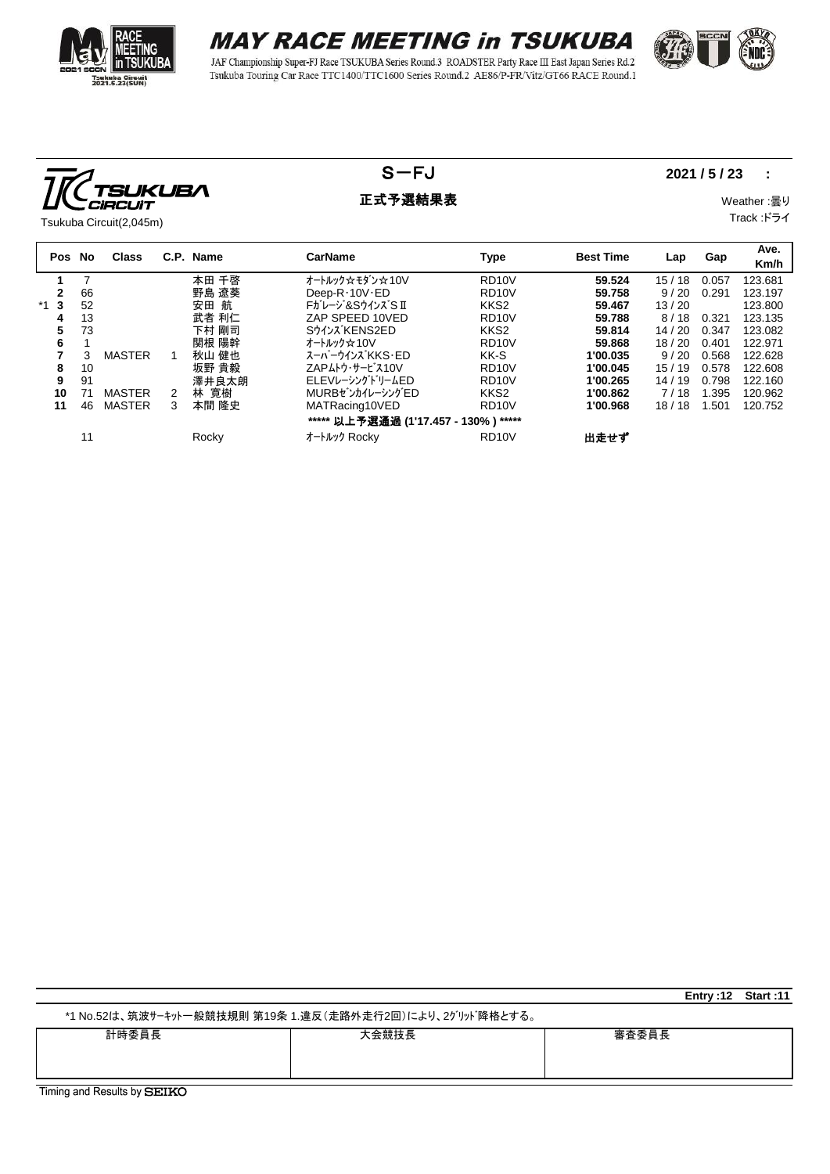

# **MAY RACE MEETING in TSUKUBA**

JAF Championship Super-FJ Race TSUKUBA Series Round.3 ROADSTER Party Race III East Japan Series Rd.2 Tsukuba Touring Car Race TTC1400/TTC1600 Series Round.2 AE86/P-FR/Vitz/GT66 RACE Round.1



### S-FJ 2021/5/23 :

**TSUKUBA** CIRCUIT Tsukuba Circuit(2,045m)

正式予選結果表 みんちょう インディング Weather :曇り

Track :ドライ

| Pos No |    | <b>Class</b>  |   | C.P. Name | CarName                              |                    | <b>Best Time</b> | Lap   | Gap   | Ave.    |
|--------|----|---------------|---|-----------|--------------------------------------|--------------------|------------------|-------|-------|---------|
|        |    |               |   |           |                                      | Type               |                  |       |       | Km/h    |
|        |    |               |   | 本田 千啓     | オートルック☆モダン☆10∨                       | RD <sub>10</sub> V | 59.524           | 15/18 | 0.057 | 123.681 |
| 2      | 66 |               |   | 野島 遼葵     | Deep- $R \cdot 10V \cdot ED$         | RD <sub>10</sub> V | 59.758           | 9/20  | 0.291 | 123.197 |
| $*1$ 3 | 52 |               |   | 航<br>安田   | Fガレージ&SウインズS II                      | KKS <sub>2</sub>   | 59.467           | 13/20 |       | 123.800 |
| 4      | 13 |               |   | 武者 利仁     | ZAP SPEED 10VED                      | RD <sub>10</sub> V | 59.788           | 8/18  | 0.321 | 123.135 |
| 5      | 73 |               |   | 下村 剛司     | SウインズKENS2ED                         | KKS <sub>2</sub>   | 59.814           | 14/20 | 0.347 | 123.082 |
| 6      |    |               |   | 関根 陽幹     | オートルック☆10∨                           | RD <sub>10</sub> V | 59.868           | 18/20 | 0.401 | 122.971 |
| 7      | 3  | <b>MASTER</b> |   | 秋山 健也     | スーパーウインズ KKS・ED                      | KK-S               | 1'00.035         | 9/20  | 0.568 | 122.628 |
| 8      | 10 |               |   | 坂野 貴毅     | ZAPムトウ・サービス10V                       | RD <sub>10</sub> V | 1'00.045         | 15/19 | 0.578 | 122.608 |
| 9      | 91 |               |   | 澤井良太朗     | ELEVレーシングドリームED                      | RD <sub>10</sub> V | 1'00.265         | 14/19 | 0.798 | 122.160 |
| 10     | 71 | <b>MASTER</b> | 2 | 林 寛樹      | MURBゼンカイレーシングED                      | KKS <sub>2</sub>   | 1'00.862         | 7/18  | 1.395 | 120.962 |
| 11     | 46 | MASTER        | 3 | 本間 隆史     | MATRacing10VED                       | RD <sub>10</sub> V | 1'00.968         | 18/18 | 1.501 | 120.752 |
|        |    |               |   |           | ***** 以上予選通過 (1'17.457 - 130%) ***** |                    |                  |       |       |         |
|        | 11 |               |   | Rocky     | オートルック Rocky                         | RD <sub>10</sub> V | 出走せず             |       |       |         |

|                              |                                                           |       | <b>Entry:12 Start:11</b> |  |
|------------------------------|-----------------------------------------------------------|-------|--------------------------|--|
|                              | *1 No.52は、筑波サーキット一般競技規則 第19条 1.違反(走路外走行2回)により、2グリッド降格とする。 |       |                          |  |
| 計時委員長                        | 大会競技長                                                     | 審査委員長 |                          |  |
| Timing and Posults by CETIZO |                                                           |       |                          |  |

Timing and Results by SEIKO